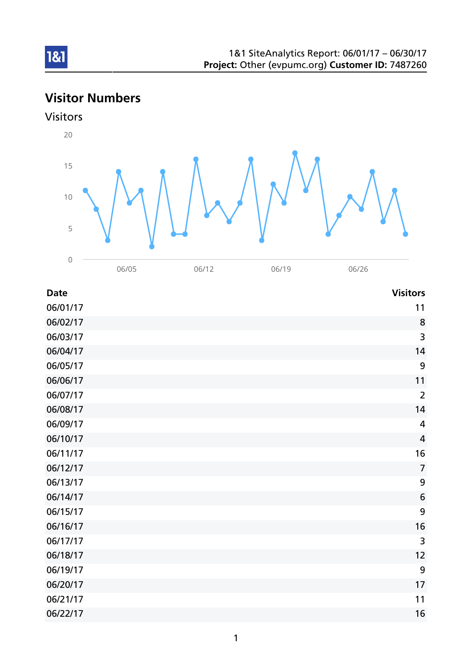# Visitor Numbers





| <b>Date</b> | <b>Visitors</b> |
|-------------|-----------------|
| 06/01/17    | 11              |
| 06/02/17    | 8               |
| 06/03/17    | 3               |
| 06/04/17    | 14              |
| 06/05/17    | 9               |
| 06/06/17    | 11              |
| 06/07/17    | $\overline{2}$  |
| 06/08/17    | 14              |
| 06/09/17    | $\overline{4}$  |
| 06/10/17    | $\overline{4}$  |
| 06/11/17    | 16              |
| 06/12/17    | $\overline{7}$  |
| 06/13/17    | 9               |
| 06/14/17    | 6               |
| 06/15/17    | 9               |
| 06/16/17    | 16              |
| 06/17/17    | 3               |
| 06/18/17    | 12              |
| 06/19/17    | 9               |
| 06/20/17    | 17              |
| 06/21/17    | 11              |
| 06/22/17    | 16              |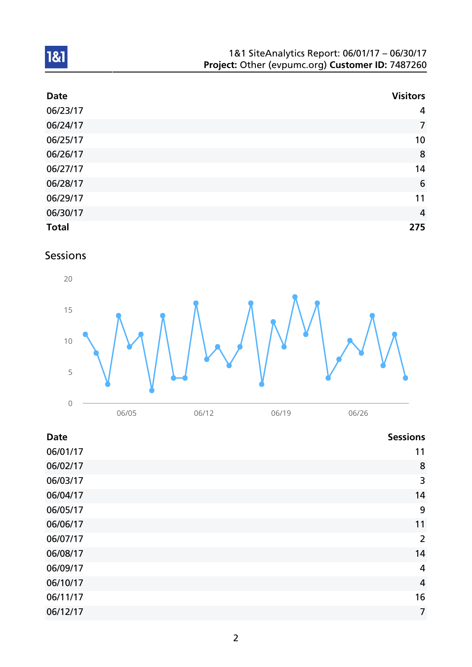| 1&1 SiteAnalytics Report: 06/01/17 - 06/30/17    |  |
|--------------------------------------------------|--|
| Project: Other (evpumc.org) Customer ID: 7487260 |  |

| <b>Date</b>  | <b>Visitors</b> |
|--------------|-----------------|
| 06/23/17     | $\overline{4}$  |
| 06/24/17     | $\overline{7}$  |
| 06/25/17     | 10              |
| 06/26/17     | 8               |
| 06/27/17     | 14              |
| 06/28/17     | $6\phantom{1}6$ |
| 06/29/17     | 11              |
| 06/30/17     | $\overline{4}$  |
| <b>Total</b> | 275             |

Sessions



| <b>Date</b> | <b>Sessions</b> |
|-------------|-----------------|
| 06/01/17    | 11              |
| 06/02/17    | 8               |
| 06/03/17    | 3               |
| 06/04/17    | 14              |
| 06/05/17    | 9               |
| 06/06/17    | 11              |
| 06/07/17    | $\overline{2}$  |
| 06/08/17    | 14              |
| 06/09/17    | $\overline{4}$  |
| 06/10/17    | $\overline{4}$  |
| 06/11/17    | 16              |
| 06/12/17    | $\overline{7}$  |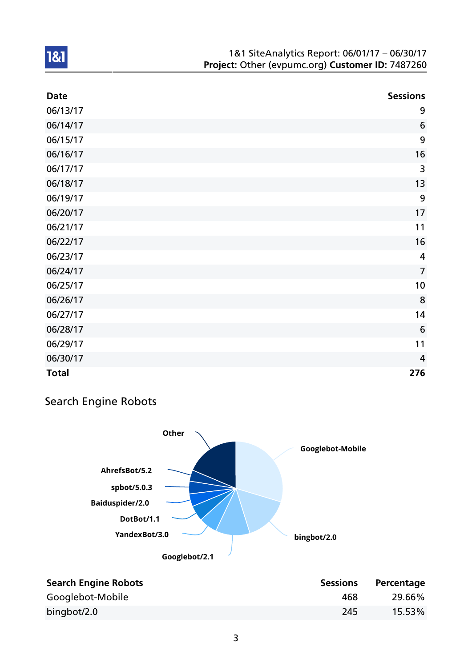| <b>Date</b>  | <b>Sessions</b> |
|--------------|-----------------|
| 06/13/17     | 9               |
| 06/14/17     | $6\phantom{1}6$ |
| 06/15/17     | 9               |
| 06/16/17     | 16              |
| 06/17/17     | 3               |
| 06/18/17     | 13              |
| 06/19/17     | 9               |
| 06/20/17     | 17              |
| 06/21/17     | 11              |
| 06/22/17     | 16              |
| 06/23/17     | 4               |
| 06/24/17     | $\overline{7}$  |
| 06/25/17     | 10              |
| 06/26/17     | 8               |
| 06/27/17     | 14              |
| 06/28/17     | 6               |
| 06/29/17     | 11              |
| 06/30/17     | $\overline{4}$  |
| <b>Total</b> | 276             |

## Search Engine Robots



| <b>Search Engine Robots</b> | <b>Sessions</b> | Percentage |
|-----------------------------|-----------------|------------|
| Googlebot-Mobile            | 468             | 29.66%     |
| bingbot/2.0                 | 245             | 15.53%     |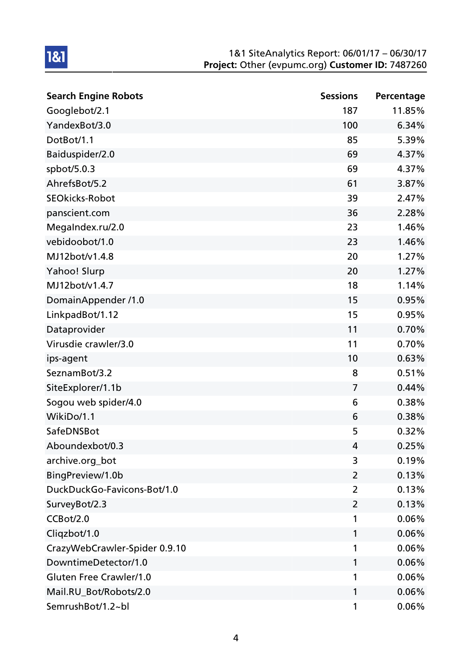| <b>Search Engine Robots</b>   | <b>Sessions</b> | Percentage |
|-------------------------------|-----------------|------------|
| Googlebot/2.1                 | 187             | 11.85%     |
| YandexBot/3.0                 | 100             | 6.34%      |
| DotBot/1.1                    | 85              | 5.39%      |
| Baiduspider/2.0               | 69              | 4.37%      |
| spbot/5.0.3                   | 69              | 4.37%      |
| AhrefsBot/5.2                 | 61              | 3.87%      |
| <b>SEOkicks-Robot</b>         | 39              | 2.47%      |
| panscient.com                 | 36              | 2.28%      |
| MegaIndex.ru/2.0              | 23              | 1.46%      |
| vebidoobot/1.0                | 23              | 1.46%      |
| MJ12bot/v1.4.8                | 20              | 1.27%      |
| Yahoo! Slurp                  | 20              | 1.27%      |
| MJ12bot/v1.4.7                | 18              | 1.14%      |
| DomainAppender /1.0           | 15              | 0.95%      |
| LinkpadBot/1.12               | 15              | 0.95%      |
| Dataprovider                  | 11              | 0.70%      |
| Virusdie crawler/3.0          | 11              | 0.70%      |
| ips-agent                     | 10              | 0.63%      |
| SeznamBot/3.2                 | 8               | 0.51%      |
| SiteExplorer/1.1b             | $\overline{7}$  | 0.44%      |
| Sogou web spider/4.0          | 6               | 0.38%      |
| WikiDo/1.1                    | 6               | 0.38%      |
| SafeDNSBot                    | 5               | 0.32%      |
| Aboundexbot/0.3               | 4               | 0.25%      |
| archive.org_bot               | 3               | 0.19%      |
| BingPreview/1.0b              | 2               | 0.13%      |
| DuckDuckGo-Favicons-Bot/1.0   | 2               | 0.13%      |
| SurveyBot/2.3                 | 2               | 0.13%      |
| CCBot/2.0                     | 1               | 0.06%      |
| Cliqzbot/1.0                  | 1               | 0.06%      |
| CrazyWebCrawler-Spider 0.9.10 | 1               | 0.06%      |
| DowntimeDetector/1.0          | 1               | 0.06%      |
| Gluten Free Crawler/1.0       | 1               | 0.06%      |
| Mail.RU_Bot/Robots/2.0        | 1               | 0.06%      |
| SemrushBot/1.2~bl             | 1               | 0.06%      |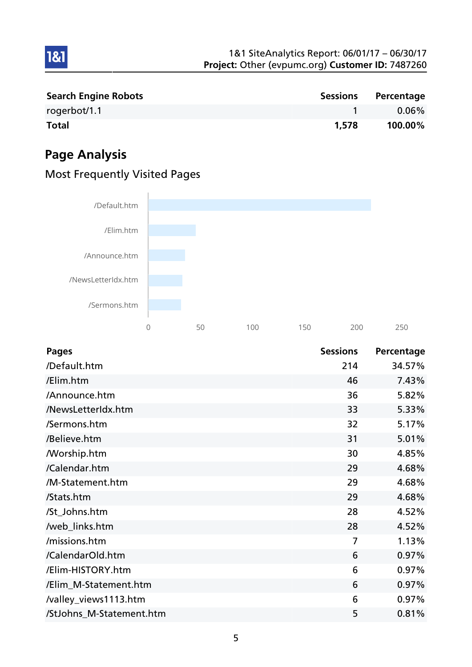| 1&1 SiteAnalytics Report: 06/01/17 - 06/30/17    |
|--------------------------------------------------|
| Project: Other (evpumc.org) Customer ID: 7487260 |

| <b>Search Engine Robots</b> | <b>Sessions</b> | Percentage |
|-----------------------------|-----------------|------------|
| rogerbot/1.1                |                 | $0.06\%$   |
| <b>Total</b>                | 1,578           | 100.00%    |

# Page Analysis

1&1



## Most Frequently Visited Pages

| <b>Pages</b>             | <b>Sessions</b> | Percentage |
|--------------------------|-----------------|------------|
| /Default.htm             | 214             | 34.57%     |
| /Elim.htm                | 46              | 7.43%      |
| /Announce.htm            | 36              | 5.82%      |
| /NewsLetterIdx.htm       | 33              | 5.33%      |
| /Sermons.htm             | 32              | 5.17%      |
| /Believe.htm             | 31              | 5.01%      |
| <b>Morship.htm</b>       | 30              | 4.85%      |
| /Calendar.htm            | 29              | 4.68%      |
| /M-Statement.htm         | 29              | 4.68%      |
| /Stats.htm               | 29              | 4.68%      |
| /St_Johns.htm            | 28              | 4.52%      |
| /web_links.htm           | 28              | 4.52%      |
| /missions.htm            | 7               | 1.13%      |
| /CalendarOld.htm         | 6               | 0.97%      |
| /Elim-HISTORY.htm        | 6               | 0.97%      |
| /Elim_M-Statement.htm    | 6               | 0.97%      |
| /valley_views1113.htm    | 6               | 0.97%      |
| /StJohns_M-Statement.htm | 5               | 0.81%      |

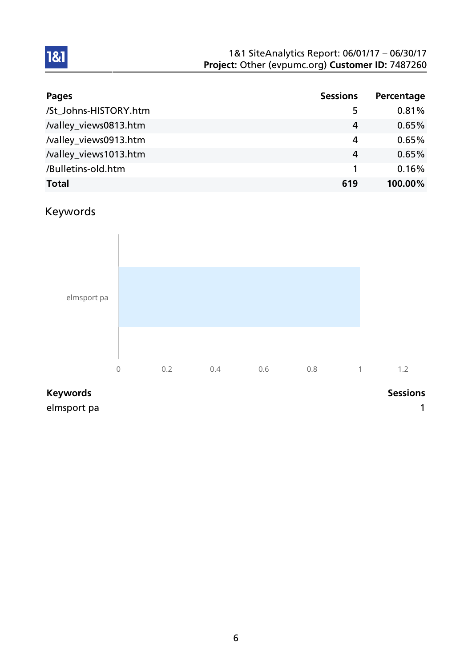| <b>Pages</b>          | <b>Sessions</b> | Percentage |
|-----------------------|-----------------|------------|
| /St_Johns-HISTORY.htm | 5               | 0.81%      |
| /valley_views0813.htm | 4               | 0.65%      |
| /valley_views0913.htm | 4               | 0.65%      |
| /valley_views1013.htm | 4               | 0.65%      |
| /Bulletins-old.htm    |                 | 0.16%      |
| <b>Total</b>          | 619             | 100.00%    |

## Keywords

1&1



elmsport pa 1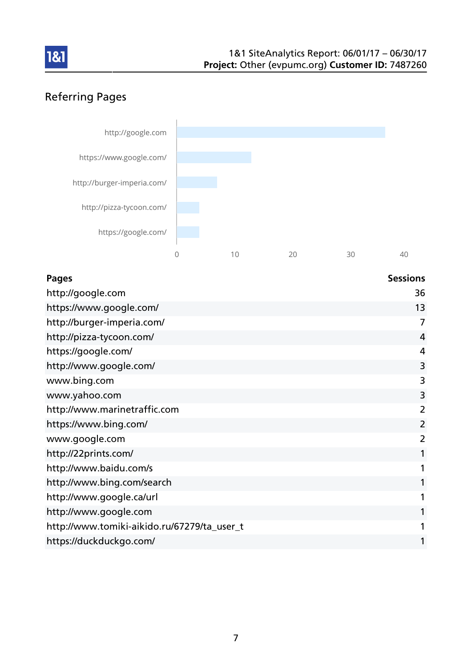

## Referring Pages



| <b>Pages</b>                                | <b>Sessions</b> |
|---------------------------------------------|-----------------|
| http://google.com                           | 36              |
| https://www.google.com/                     | 13              |
| http://burger-imperia.com/                  | 7               |
| http://pizza-tycoon.com/                    | 4               |
| https://google.com/                         | 4               |
| http://www.google.com/                      | 3               |
| www.bing.com                                | 3               |
| www.yahoo.com                               | 3               |
| http://www.marinetraffic.com                | $\overline{2}$  |
| https://www.bing.com/                       | $\overline{2}$  |
| www.google.com                              | 2               |
| http://22prints.com/                        |                 |
| http://www.baidu.com/s                      |                 |
| http://www.bing.com/search                  |                 |
| http://www.google.ca/url                    |                 |
| http://www.google.com                       |                 |
| http://www.tomiki-aikido.ru/67279/ta_user_t |                 |
| https://duckduckgo.com/                     |                 |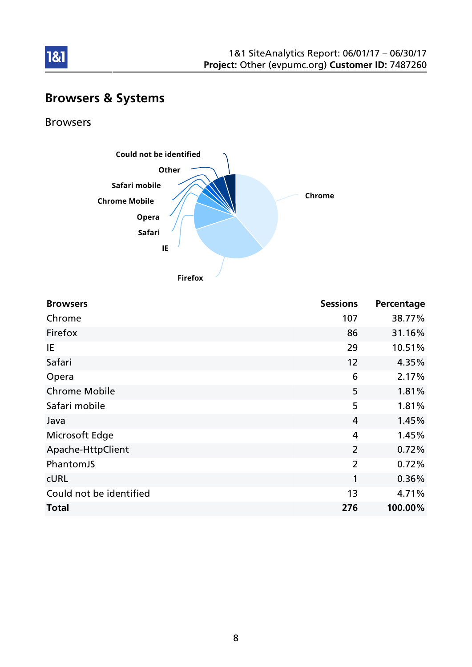

## Browsers & Systems

Browsers

1&1



**Firefox**

| <b>Browsers</b>         | <b>Sessions</b> | Percentage |
|-------------------------|-----------------|------------|
| Chrome                  | 107             | 38.77%     |
| Firefox                 | 86              | 31.16%     |
| IE                      | 29              | 10.51%     |
| Safari                  | 12              | 4.35%      |
| Opera                   | 6               | 2.17%      |
| <b>Chrome Mobile</b>    | 5               | 1.81%      |
| Safari mobile           | 5               | 1.81%      |
| Java                    | $\overline{4}$  | 1.45%      |
| Microsoft Edge          | $\overline{4}$  | 1.45%      |
| Apache-HttpClient       | $\overline{2}$  | 0.72%      |
| PhantomJS               | $\overline{2}$  | 0.72%      |
| <b>CURL</b>             | 1               | 0.36%      |
| Could not be identified | 13              | 4.71%      |
| <b>Total</b>            | 276             | 100.00%    |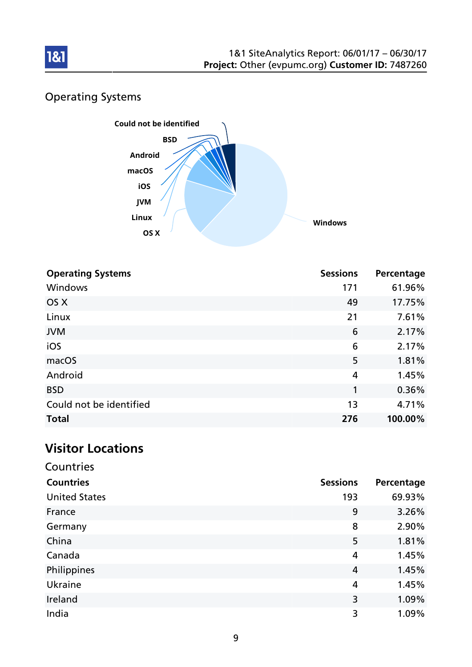

## Operating Systems



| <b>Operating Systems</b> | <b>Sessions</b> | Percentage |
|--------------------------|-----------------|------------|
| <b>Windows</b>           | 171             | 61.96%     |
| OS X                     | 49              | 17.75%     |
| Linux                    | 21              | 7.61%      |
| <b>JVM</b>               | 6               | 2.17%      |
| iOS                      | 6               | 2.17%      |
| macOS                    | 5               | 1.81%      |
| Android                  | 4               | 1.45%      |
| <b>BSD</b>               | $\mathbf{1}$    | 0.36%      |
| Could not be identified  | 13              | 4.71%      |
| <b>Total</b>             | 276             | 100.00%    |

## Visitor Locations

| Countries            |                 |            |
|----------------------|-----------------|------------|
| <b>Countries</b>     | <b>Sessions</b> | Percentage |
| <b>United States</b> | 193             | 69.93%     |
| France               | 9               | 3.26%      |
| Germany              | 8               | 2.90%      |
| China                | 5               | 1.81%      |
| Canada               | 4               | 1.45%      |
| Philippines          | 4               | 1.45%      |
| Ukraine              | 4               | 1.45%      |
| Ireland              | 3               | 1.09%      |
| India                | 3               | 1.09%      |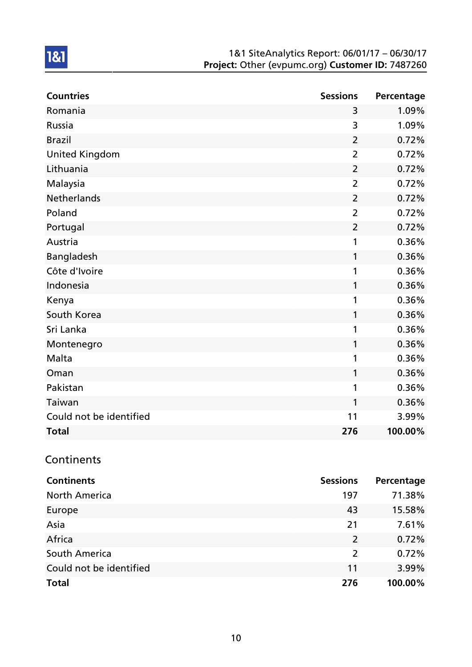| <b>Countries</b>        | <b>Sessions</b> | Percentage |
|-------------------------|-----------------|------------|
| Romania                 | 3               | 1.09%      |
| Russia                  | 3               | 1.09%      |
| <b>Brazil</b>           | $\overline{2}$  | 0.72%      |
| <b>United Kingdom</b>   | $\overline{2}$  | 0.72%      |
| Lithuania               | $\overline{2}$  | 0.72%      |
| Malaysia                | $\overline{2}$  | 0.72%      |
| <b>Netherlands</b>      | $\overline{2}$  | 0.72%      |
| Poland                  | $\overline{2}$  | 0.72%      |
| Portugal                | $\overline{2}$  | 0.72%      |
| Austria                 | 1               | 0.36%      |
| Bangladesh              | 1               | 0.36%      |
| Côte d'Ivoire           | 1               | 0.36%      |
| Indonesia               | 1               | 0.36%      |
| Kenya                   | 1               | 0.36%      |
| South Korea             | 1               | 0.36%      |
| Sri Lanka               | 1               | 0.36%      |
| Montenegro              | 1               | 0.36%      |
| Malta                   | 1               | 0.36%      |
| Oman                    | 1               | 0.36%      |
| Pakistan                | 1               | 0.36%      |
| Taiwan                  | 1               | 0.36%      |
| Could not be identified | 11              | 3.99%      |
| <b>Total</b>            | 276             | 100.00%    |

## **Continents**

| <b>Continents</b>       | <b>Sessions</b> | Percentage |
|-------------------------|-----------------|------------|
| <b>North America</b>    | 197             | 71.38%     |
| Europe                  | 43              | 15.58%     |
| Asia                    | 21              | 7.61%      |
| Africa                  | 2               | 0.72%      |
| South America           | 2               | 0.72%      |
| Could not be identified | 11              | 3.99%      |
| <b>Total</b>            | 276             | 100.00%    |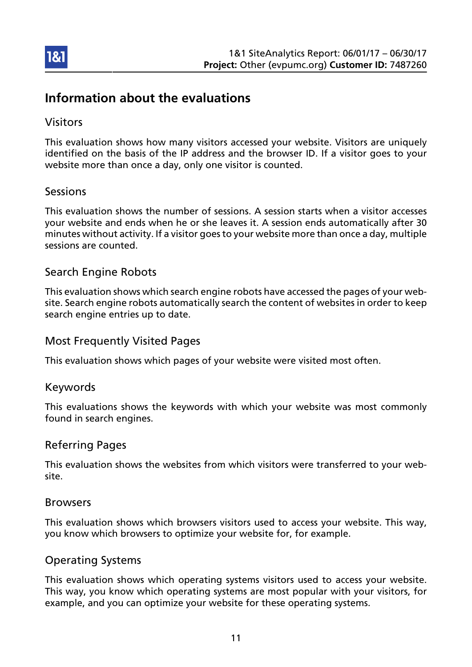

## Information about the evaluations

### Visitors

This evaluation shows how many visitors accessed your website. Visitors are uniquely identified on the basis of the IP address and the browser ID. If a visitor goes to your website more than once a day, only one visitor is counted.

#### Sessions

This evaluation shows the number of sessions. A session starts when a visitor accesses your website and ends when he or she leaves it. A session ends automatically after 30 minutes without activity. If a visitor goes to your website more than once a day, multiple sessions are counted.

#### Search Engine Robots

This evaluation shows which search engine robots have accessed the pages of your website. Search engine robots automatically search the content of websites in order to keep search engine entries up to date.

#### Most Frequently Visited Pages

This evaluation shows which pages of your website were visited most often.

#### Keywords

This evaluations shows the keywords with which your website was most commonly found in search engines.

#### Referring Pages

This evaluation shows the websites from which visitors were transferred to your website.

#### Browsers

This evaluation shows which browsers visitors used to access your website. This way, you know which browsers to optimize your website for, for example.

#### Operating Systems

This evaluation shows which operating systems visitors used to access your website. This way, you know which operating systems are most popular with your visitors, for example, and you can optimize your website for these operating systems.